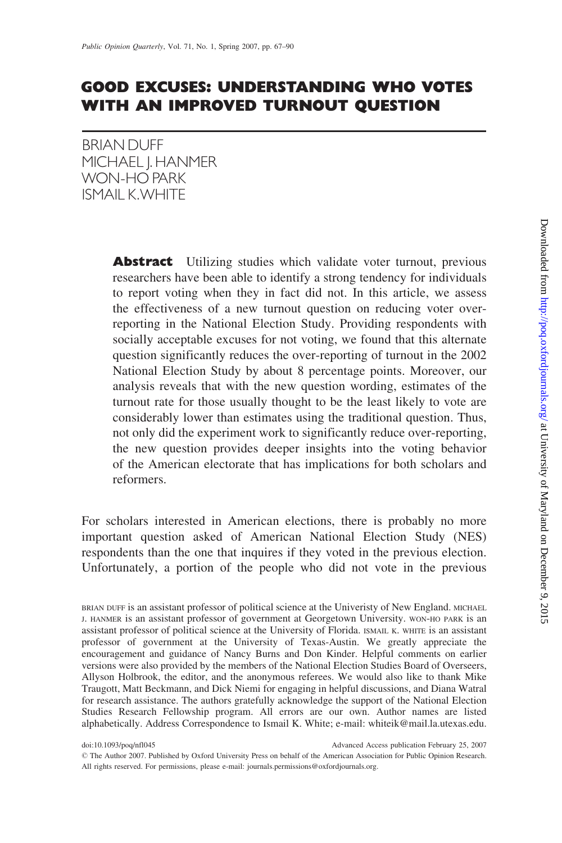# GOOD EXCUSES: UNDERSTANDING WHO VOTES WITH AN IMPROVED TURNOUT QUESTION

BRIANDUFF MICHAEL | HANMER WON-HO PARK ISMAILK.WHITE

> **Abstract** Utilizing studies which validate voter turnout, previous researchers have been able to identify a strong tendency for individuals to report voting when they in fact did not. In this article, we assess the effectiveness of a new turnout question on reducing voter overreporting in the National Election Study. Providing respondents with socially acceptable excuses for not voting, we found that this alternate question significantly reduces the over-reporting of turnout in the 2002 National Election Study by about 8 percentage points. Moreover, our analysis reveals that with the new question wording, estimates of the turnout rate for those usually thought to be the least likely to vote are considerably lower than estimates using the traditional question. Thus, not only did the experiment work to significantly reduce over-reporting, the new question provides deeper insights into the voting behavior of the American electorate that has implications for both scholars and reformers.

For scholars interested in American elections, there is probably no more important question asked of American National Election Study (NES) respondents than the one that inquires if they voted in the previous election. Unfortunately, a portion of the people who did not vote in the previous

doi:10.1093/poq/nfl045 Advanced Access publication February 25, 2007

BRIAN DUFF is an assistant professor of political science at the Univeristy of New England. MICHAEL J. HANMER is an assistant professor of government at Georgetown University. WON-HO PARK is an assistant professor of political science at the University of Florida. ISMAIL K. WHITE is an assistant professor of government at the University of Texas-Austin. We greatly appreciate the encouragement and guidance of Nancy Burns and Don Kinder. Helpful comments on earlier versions were also provided by the members of the National Election Studies Board of Overseers, Allyson Holbrook, the editor, and the anonymous referees. We would also like to thank Mike Traugott, Matt Beckmann, and Dick Niemi for engaging in helpful discussions, and Diana Watral for research assistance. The authors gratefully acknowledge the support of the National Election Studies Research Fellowship program. All errors are our own. Author names are listed alphabetically. Address Correspondence to Ismail K. White; e-mail: whiteik@mail.la.utexas.edu.

The Author 2007. Published by Oxford University Press on behalf of the American Association for Public Opinion Research. All rights reserved. For permissions, please e-mail: journals.permissions@oxfordjournals.org.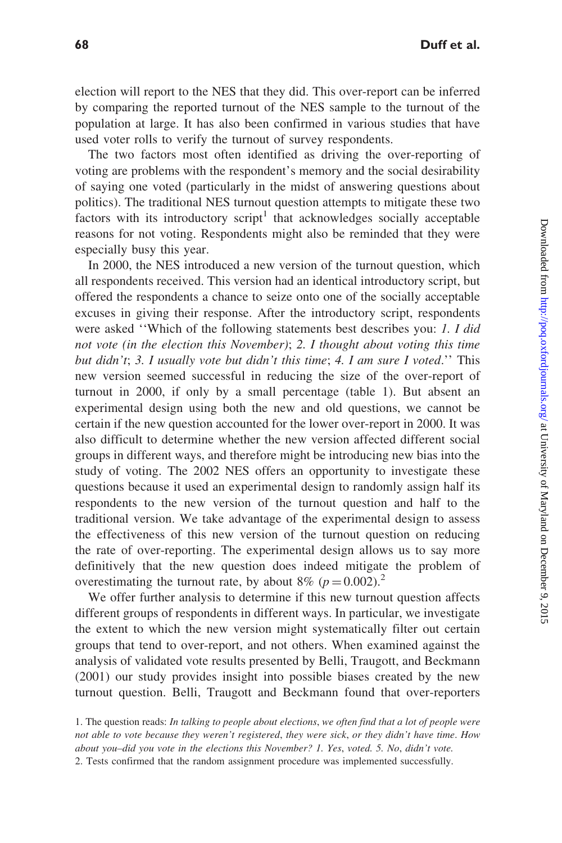election will report to the NES that they did. This over-report can be inferred by comparing the reported turnout of the NES sample to the turnout of the population at large. It has also been confirmed in various studies that have used voter rolls to verify the turnout of survey respondents.

The two factors most often identified as driving the over-reporting of voting are problems with the respondent's memory and the social desirability of saying one voted (particularly in the midst of answering questions about politics). The traditional NES turnout question attempts to mitigate these two factors with its introductory script<sup>1</sup> that acknowledges socially acceptable reasons for not voting. Respondents might also be reminded that they were especially busy this year.

In 2000, the NES introduced a new version of the turnout question, which all respondents received. This version had an identical introductory script, but offered the respondents a chance to seize onto one of the socially acceptable excuses in giving their response. After the introductory script, respondents were asked "Which of the following statements best describes you: 1. I did not vote (in the election this November); 2. I thought about voting this time but didn't; 3. I usually vote but didn't this time; 4. I am sure I voted." This new version seemed successful in reducing the size of the over-report of turnout in 2000, if only by a small percentage (table 1). But absent an experimental design using both the new and old questions, we cannot be certain if the new question accounted for the lower over-report in 2000. It was also difficult to determine whether the new version affected different social groups in different ways, and therefore might be introducing new bias into the study of voting. The 2002 NES offers an opportunity to investigate these questions because it used an experimental design to randomly assign half its respondents to the new version of the turnout question and half to the traditional version. We take advantage of the experimental design to assess the effectiveness of this new version of the turnout question on reducing the rate of over-reporting. The experimental design allows us to say more definitively that the new question does indeed mitigate the problem of overestimating the turnout rate, by about 8% ( $p = 0.002$ ).<sup>2</sup>

We offer further analysis to determine if this new turnout question affects different groups of respondents in different ways. In particular, we investigate the extent to which the new version might systematically filter out certain groups that tend to over-report, and not others. When examined against the analysis of validated vote results presented by Belli, Traugott, and Beckmann (2001) our study provides insight into possible biases created by the new turnout question. Belli, Traugott and Beckmann found that over-reporters

<sup>1.</sup> The question reads: In talking to people about elections, we often find that a lot of people were not able to vote because they weren't registered, they were sick, or they didn't have time. How about you–did you vote in the elections this November? 1. Yes, voted. 5. No, didn't vote.

<sup>2.</sup> Tests confirmed that the random assignment procedure was implemented successfully.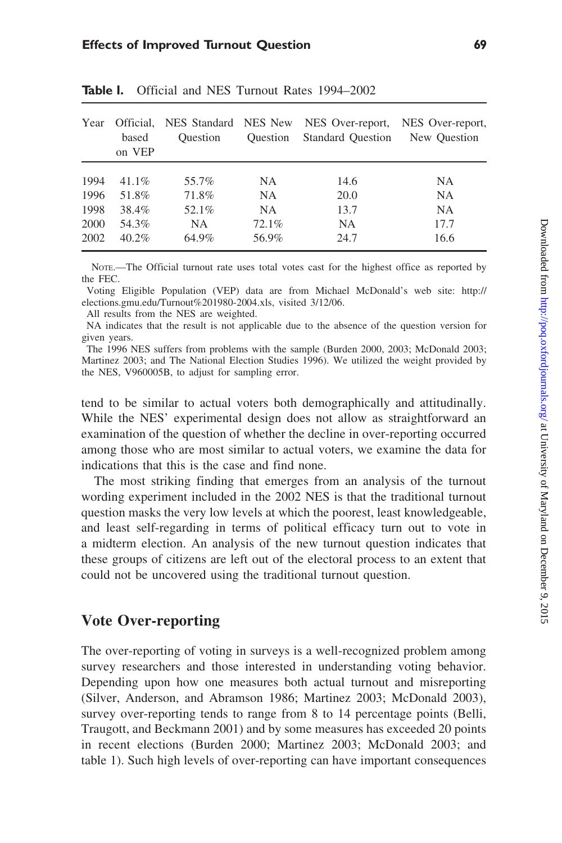| Year | Official.<br>based<br>on VEP | <b>Ouestion</b> | <b>Ouestion</b> | NES Standard NES New NES Over-report,<br><b>Standard Question</b> | NES Over-report,<br>New Question |
|------|------------------------------|-----------------|-----------------|-------------------------------------------------------------------|----------------------------------|
| 1994 | $41.1\%$                     | 55.7%           | NA.             | 14.6                                                              | <b>NA</b>                        |
| 1996 | 51.8%                        | 71.8%           | NA.             | 20.0                                                              | NA.                              |
| 1998 | 38.4%                        | 52.1%           | NA.             | 13.7                                                              | NA.                              |
| 2000 | 54.3%                        | NA.             | 72.1%           | NA.                                                               | 17.7                             |
| 2002 | $40.2\%$                     | 64.9%           | 56.9%           | 24.7                                                              | 16.6                             |

Table I. Official and NES Turnout Rates 1994–2002

NOTE.—The Official turnout rate uses total votes cast for the highest office as reported by the FEC.

Voting Eligible Population (VEP) data are from Michael McDonald's web site:<http://> elections.gmu.edu/Turnout%201980-2004.xls, visited 3/12/06.

All results from the NES are weighted.

NA indicates that the result is not applicable due to the absence of the question version for given years.

The 1996 NES suffers from problems with the sample (Burden 2000, 2003; McDonald 2003; Martinez 2003; and The National Election Studies 1996). We utilized the weight provided by the NES, V960005B, to adjust for sampling error.

tend to be similar to actual voters both demographically and attitudinally. While the NES' experimental design does not allow as straightforward an examination of the question of whether the decline in over-reporting occurred among those who are most similar to actual voters, we examine the data for indications that this is the case and find none.

The most striking finding that emerges from an analysis of the turnout wording experiment included in the 2002 NES is that the traditional turnout question masks the very low levels at which the poorest, least knowledgeable, and least self-regarding in terms of political efficacy turn out to vote in a midterm election. An analysis of the new turnout question indicates that these groups of citizens are left out of the electoral process to an extent that could not be uncovered using the traditional turnout question.

## Vote Over-reporting

The over-reporting of voting in surveys is a well-recognized problem among survey researchers and those interested in understanding voting behavior. Depending upon how one measures both actual turnout and misreporting (Silver, Anderson, and Abramson 1986; Martinez 2003; McDonald 2003), survey over-reporting tends to range from 8 to 14 percentage points (Belli, Traugott, and Beckmann 2001) and by some measures has exceeded 20 points in recent elections (Burden 2000; Martinez 2003; McDonald 2003; and table 1). Such high levels of over-reporting can have important consequences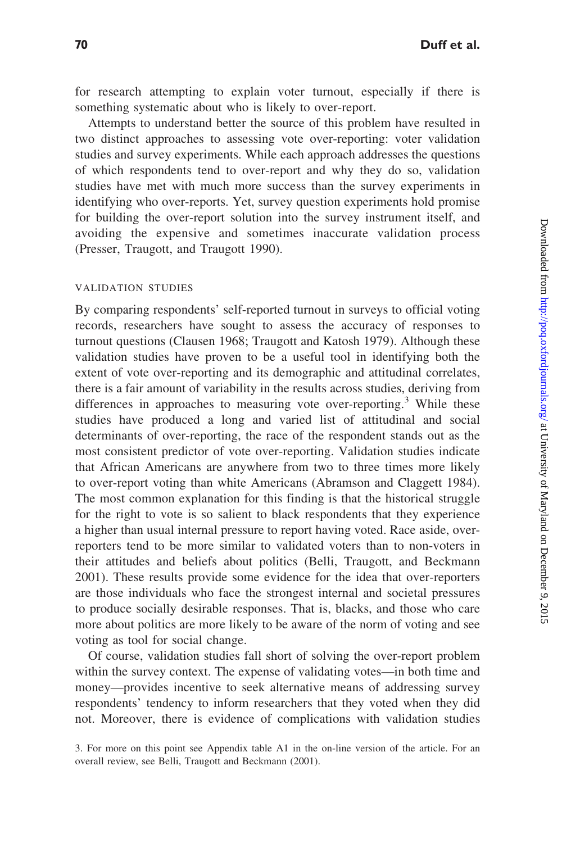for research attempting to explain voter turnout, especially if there is something systematic about who is likely to over-report.

Attempts to understand better the source of this problem have resulted in two distinct approaches to assessing vote over-reporting: voter validation studies and survey experiments. While each approach addresses the questions of which respondents tend to over-report and why they do so, validation studies have met with much more success than the survey experiments in identifying who over-reports. Yet, survey question experiments hold promise for building the over-report solution into the survey instrument itself, and avoiding the expensive and sometimes inaccurate validation process (Presser, Traugott, and Traugott 1990).

#### VALIDATION STUDIES

By comparing respondents' self-reported turnout in surveys to official voting records, researchers have sought to assess the accuracy of responses to turnout questions (Clausen 1968; Traugott and Katosh 1979). Although these validation studies have proven to be a useful tool in identifying both the extent of vote over-reporting and its demographic and attitudinal correlates, there is a fair amount of variability in the results across studies, deriving from differences in approaches to measuring vote over-reporting.<sup>3</sup> While these studies have produced a long and varied list of attitudinal and social determinants of over-reporting, the race of the respondent stands out as the most consistent predictor of vote over-reporting. Validation studies indicate that African Americans are anywhere from two to three times more likely to over-report voting than white Americans (Abramson and Claggett 1984). The most common explanation for this finding is that the historical struggle for the right to vote is so salient to black respondents that they experience a higher than usual internal pressure to report having voted. Race aside, overreporters tend to be more similar to validated voters than to non-voters in their attitudes and beliefs about politics (Belli, Traugott, and Beckmann 2001). These results provide some evidence for the idea that over-reporters are those individuals who face the strongest internal and societal pressures to produce socially desirable responses. That is, blacks, and those who care more about politics are more likely to be aware of the norm of voting and see voting as tool for social change.

Of course, validation studies fall short of solving the over-report problem within the survey context. The expense of validating votes—in both time and money—provides incentive to seek alternative means of addressing survey respondents' tendency to inform researchers that they voted when they did not. Moreover, there is evidence of complications with validation studies

3. For more on this point see Appendix table A1 in the on-line version of the article. For an overall review, see Belli, Traugott and Beckmann (2001).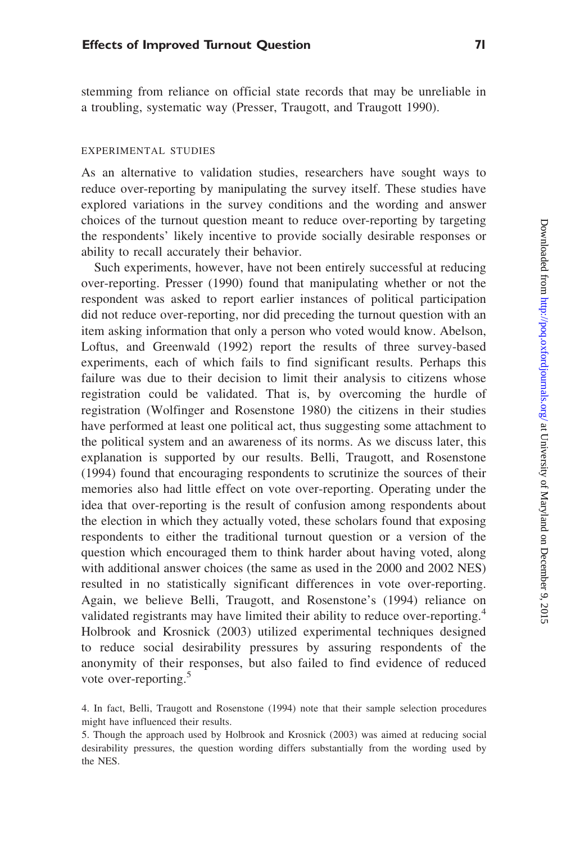stemming from reliance on official state records that may be unreliable in a troubling, systematic way (Presser, Traugott, and Traugott 1990).

#### EXPERIMENTAL STUDIES

As an alternative to validation studies, researchers have sought ways to reduce over-reporting by manipulating the survey itself. These studies have explored variations in the survey conditions and the wording and answer choices of the turnout question meant to reduce over-reporting by targeting the respondents' likely incentive to provide socially desirable responses or ability to recall accurately their behavior.

Such experiments, however, have not been entirely successful at reducing over-reporting. Presser (1990) found that manipulating whether or not the respondent was asked to report earlier instances of political participation did not reduce over-reporting, nor did preceding the turnout question with an item asking information that only a person who voted would know. Abelson, Loftus, and Greenwald (1992) report the results of three survey-based experiments, each of which fails to find significant results. Perhaps this failure was due to their decision to limit their analysis to citizens whose registration could be validated. That is, by overcoming the hurdle of registration (Wolfinger and Rosenstone 1980) the citizens in their studies have performed at least one political act, thus suggesting some attachment to the political system and an awareness of its norms. As we discuss later, this explanation is supported by our results. Belli, Traugott, and Rosenstone (1994) found that encouraging respondents to scrutinize the sources of their memories also had little effect on vote over-reporting. Operating under the idea that over-reporting is the result of confusion among respondents about the election in which they actually voted, these scholars found that exposing respondents to either the traditional turnout question or a version of the question which encouraged them to think harder about having voted, along with additional answer choices (the same as used in the 2000 and 2002 NES) resulted in no statistically significant differences in vote over-reporting. Again, we believe Belli, Traugott, and Rosenstone's (1994) reliance on validated registrants may have limited their ability to reduce over-reporting.<sup>4</sup> Holbrook and Krosnick (2003) utilized experimental techniques designed to reduce social desirability pressures by assuring respondents of the anonymity of their responses, but also failed to find evidence of reduced vote over-reporting.<sup>5</sup>

<sup>4.</sup> In fact, Belli, Traugott and Rosenstone (1994) note that their sample selection procedures might have influenced their results.

<sup>5.</sup> Though the approach used by Holbrook and Krosnick (2003) was aimed at reducing social desirability pressures, the question wording differs substantially from the wording used by the NES.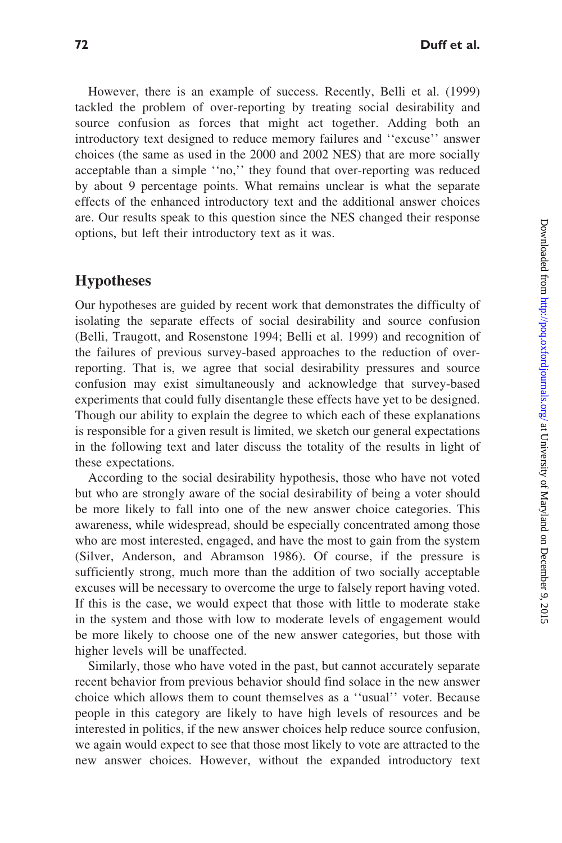However, there is an example of success. Recently, Belli et al. (1999) tackled the problem of over-reporting by treating social desirability and source confusion as forces that might act together. Adding both an introductory text designed to reduce memory failures and ''excuse'' answer choices (the same as used in the 2000 and 2002 NES) that are more socially acceptable than a simple ''no,'' they found that over-reporting was reduced by about 9 percentage points. What remains unclear is what the separate effects of the enhanced introductory text and the additional answer choices are. Our results speak to this question since the NES changed their response options, but left their introductory text as it was.

## Hypotheses

Our hypotheses are guided by recent work that demonstrates the difficulty of isolating the separate effects of social desirability and source confusion (Belli, Traugott, and Rosenstone 1994; Belli et al. 1999) and recognition of the failures of previous survey-based approaches to the reduction of overreporting. That is, we agree that social desirability pressures and source confusion may exist simultaneously and acknowledge that survey-based experiments that could fully disentangle these effects have yet to be designed. Though our ability to explain the degree to which each of these explanations is responsible for a given result is limited, we sketch our general expectations in the following text and later discuss the totality of the results in light of these expectations.

According to the social desirability hypothesis, those who have not voted but who are strongly aware of the social desirability of being a voter should be more likely to fall into one of the new answer choice categories. This awareness, while widespread, should be especially concentrated among those who are most interested, engaged, and have the most to gain from the system (Silver, Anderson, and Abramson 1986). Of course, if the pressure is sufficiently strong, much more than the addition of two socially acceptable excuses will be necessary to overcome the urge to falsely report having voted. If this is the case, we would expect that those with little to moderate stake in the system and those with low to moderate levels of engagement would be more likely to choose one of the new answer categories, but those with higher levels will be unaffected.

Similarly, those who have voted in the past, but cannot accurately separate recent behavior from previous behavior should find solace in the new answer choice which allows them to count themselves as a ''usual'' voter. Because people in this category are likely to have high levels of resources and be interested in politics, if the new answer choices help reduce source confusion, we again would expect to see that those most likely to vote are attracted to the new answer choices. However, without the expanded introductory text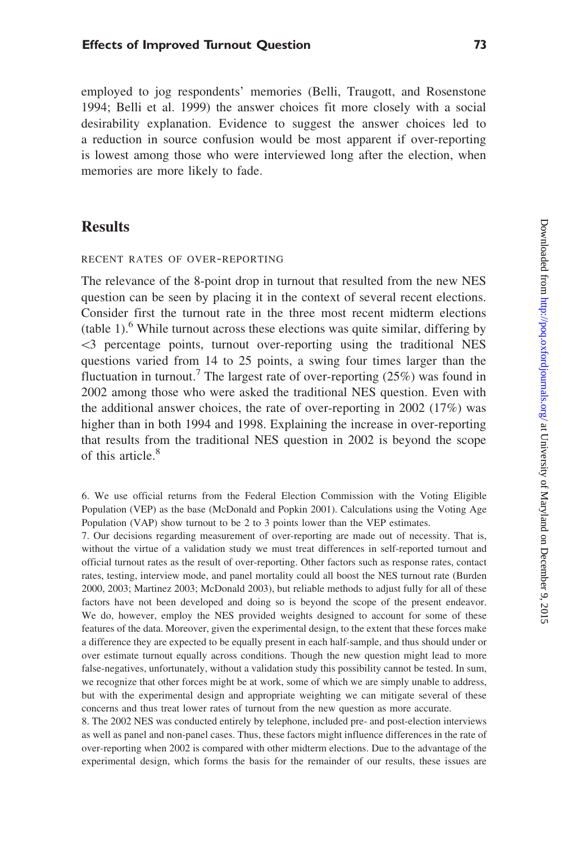employed to jog respondents' memories (Belli, Traugott, and Rosenstone 1994; Belli et al. 1999) the answer choices fit more closely with a social desirability explanation. Evidence to suggest the answer choices led to a reduction in source confusion would be most apparent if over-reporting is lowest among those who were interviewed long after the election, when memories are more likely to fade.

## **Results**

#### RECENT RATES OF OVER-REPORTING

The relevance of the 8-point drop in turnout that resulted from the new NES question can be seen by placing it in the context of several recent elections. Consider first the turnout rate in the three most recent midterm elections (table 1).<sup>6</sup> While turnout across these elections was quite similar, differing by 53 percentage points, turnout over-reporting using the traditional NES questions varied from 14 to 25 points, a swing four times larger than the fluctuation in turnout.<sup>7</sup> The largest rate of over-reporting  $(25%)$  was found in 2002 among those who were asked the traditional NES question. Even with the additional answer choices, the rate of over-reporting in 2002 (17%) was higher than in both 1994 and 1998. Explaining the increase in over-reporting that results from the traditional NES question in 2002 is beyond the scope of this article.<sup>8</sup>

7. Our decisions regarding measurement of over-reporting are made out of necessity. That is, without the virtue of a validation study we must treat differences in self-reported turnout and official turnout rates as the result of over-reporting. Other factors such as response rates, contact rates, testing, interview mode, and panel mortality could all boost the NES turnout rate (Burden 2000, 2003; Martinez 2003; McDonald 2003), but reliable methods to adjust fully for all of these factors have not been developed and doing so is beyond the scope of the present endeavor. We do, however, employ the NES provided weights designed to account for some of these features of the data. Moreover, given the experimental design, to the extent that these forces make a difference they are expected to be equally present in each half-sample, and thus should under or over estimate turnout equally across conditions. Though the new question might lead to more false-negatives, unfortunately, without a validation study this possibility cannot be tested. In sum, we recognize that other forces might be at work, some of which we are simply unable to address, but with the experimental design and appropriate weighting we can mitigate several of these concerns and thus treat lower rates of turnout from the new question as more accurate.

8. The 2002 NES was conducted entirely by telephone, included pre- and post-election interviews as well as panel and non-panel cases. Thus, these factors might influence differences in the rate of over-reporting when 2002 is compared with other midterm elections. Due to the advantage of the experimental design, which forms the basis for the remainder of our results, these issues are

<sup>6.</sup> We use official returns from the Federal Election Commission with the Voting Eligible Population (VEP) as the base (McDonald and Popkin 2001). Calculations using the Voting Age Population (VAP) show turnout to be 2 to 3 points lower than the VEP estimates.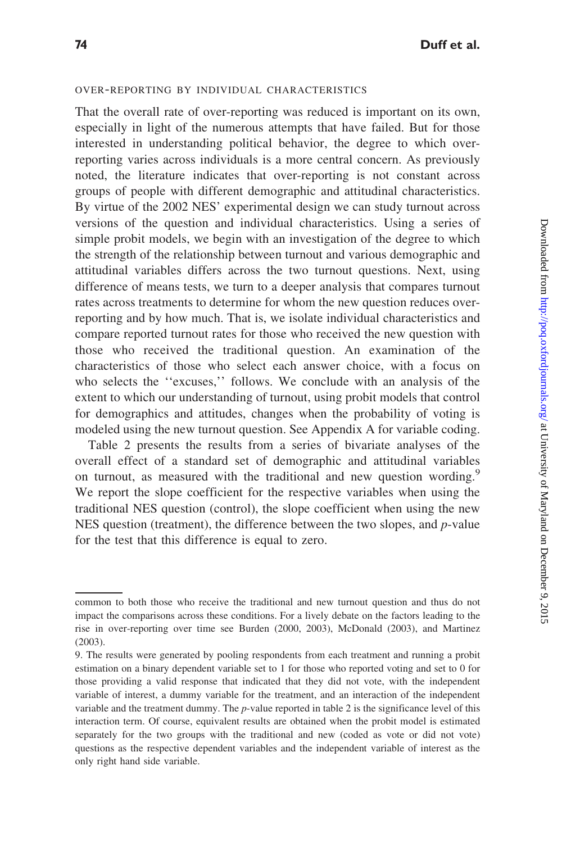### OVER-REPORTING BY INDIVIDUAL CHARACTERISTICS

That the overall rate of over-reporting was reduced is important on its own, especially in light of the numerous attempts that have failed. But for those interested in understanding political behavior, the degree to which overreporting varies across individuals is a more central concern. As previously noted, the literature indicates that over-reporting is not constant across groups of people with different demographic and attitudinal characteristics. By virtue of the 2002 NES' experimental design we can study turnout across versions of the question and individual characteristics. Using a series of simple probit models, we begin with an investigation of the degree to which the strength of the relationship between turnout and various demographic and attitudinal variables differs across the two turnout questions. Next, using difference of means tests, we turn to a deeper analysis that compares turnout rates across treatments to determine for whom the new question reduces overreporting and by how much. That is, we isolate individual characteristics and compare reported turnout rates for those who received the new question with those who received the traditional question. An examination of the characteristics of those who select each answer choice, with a focus on who selects the ''excuses,'' follows. We conclude with an analysis of the extent to which our understanding of turnout, using probit models that control for demographics and attitudes, changes when the probability of voting is modeled using the new turnout question. See Appendix A for variable coding.

Table 2 presents the results from a series of bivariate analyses of the overall effect of a standard set of demographic and attitudinal variables on turnout, as measured with the traditional and new question wording.<sup>9</sup> We report the slope coefficient for the respective variables when using the traditional NES question (control), the slope coefficient when using the new NES question (treatment), the difference between the two slopes, and  $p$ -value for the test that this difference is equal to zero.

common to both those who receive the traditional and new turnout question and thus do not impact the comparisons across these conditions. For a lively debate on the factors leading to the rise in over-reporting over time see Burden (2000, 2003), McDonald (2003), and Martinez (2003).

<sup>9.</sup> The results were generated by pooling respondents from each treatment and running a probit estimation on a binary dependent variable set to 1 for those who reported voting and set to 0 for those providing a valid response that indicated that they did not vote, with the independent variable of interest, a dummy variable for the treatment, and an interaction of the independent variable and the treatment dummy. The  $p$ -value reported in table 2 is the significance level of this interaction term. Of course, equivalent results are obtained when the probit model is estimated separately for the two groups with the traditional and new (coded as vote or did not vote) questions as the respective dependent variables and the independent variable of interest as the only right hand side variable.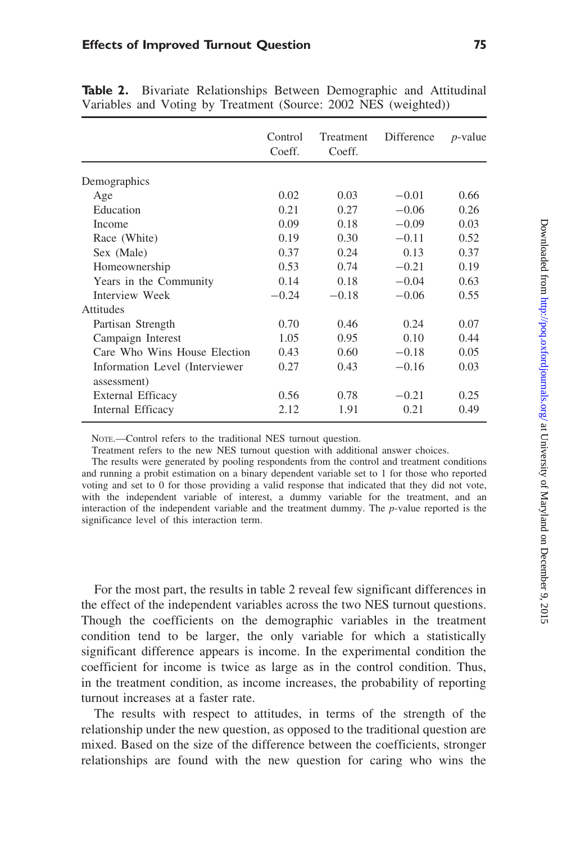|                                               | Control<br>Coeff. | Treatment<br>Coeff. | Difference | $p$ -value |
|-----------------------------------------------|-------------------|---------------------|------------|------------|
| Demographics                                  |                   |                     |            |            |
| Age                                           | 0.02              | 0.03                | $-0.01$    | 0.66       |
| Education                                     | 0.21              | 0.27                | $-0.06$    | 0.26       |
| Income                                        | 0.09              | 0.18                | $-0.09$    | 0.03       |
| Race (White)                                  | 0.19              | 0.30                | $-0.11$    | 0.52       |
| Sex (Male)                                    | 0.37              | 0.24                | 0.13       | 0.37       |
| Homeownership                                 | 0.53              | 0.74                | $-0.21$    | 0.19       |
| Years in the Community                        | 0.14              | 0.18                | $-0.04$    | 0.63       |
| Interview Week                                | $-0.24$           | $-0.18$             | $-0.06$    | 0.55       |
| Attitudes                                     |                   |                     |            |            |
| Partisan Strength                             | 0.70              | 0.46                | 0.24       | 0.07       |
| Campaign Interest                             | 1.05              | 0.95                | 0.10       | 0.44       |
| Care Who Wins House Election                  | 0.43              | 0.60                | $-0.18$    | 0.05       |
| Information Level (Interviewer<br>assessment) | 0.27              | 0.43                | $-0.16$    | 0.03       |
|                                               | 0.56              | 0.78                | $-0.21$    | 0.25       |
| Internal Efficacy                             | 2.12              | 1.91                | 0.21       | 0.49       |
| External Efficacy                             |                   |                     |            |            |

Table 2. Bivariate Relationships Between Demographic and Attitudinal Variables and Voting by Treatment (Source: 2002 NES (weighted))

NOTE.—Control refers to the traditional NES turnout question.

Treatment refers to the new NES turnout question with additional answer choices.

The results were generated by pooling respondents from the control and treatment conditions and running a probit estimation on a binary dependent variable set to 1 for those who reported voting and set to 0 for those providing a valid response that indicated that they did not vote, with the independent variable of interest, a dummy variable for the treatment, and an interaction of the independent variable and the treatment dummy. The p-value reported is the significance level of this interaction term.

For the most part, the results in table 2 reveal few significant differences in the effect of the independent variables across the two NES turnout questions. Though the coefficients on the demographic variables in the treatment condition tend to be larger, the only variable for which a statistically significant difference appears is income. In the experimental condition the coefficient for income is twice as large as in the control condition. Thus, in the treatment condition, as income increases, the probability of reporting turnout increases at a faster rate.

The results with respect to attitudes, in terms of the strength of the relationship under the new question, as opposed to the traditional question are mixed. Based on the size of the difference between the coefficients, stronger relationships are found with the new question for caring who wins the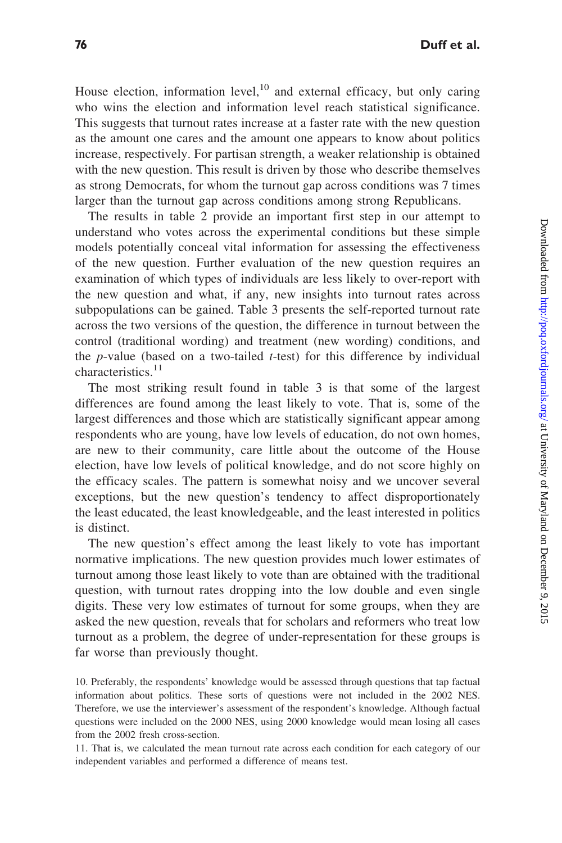House election, information level,  $10^{\circ}$  and external efficacy, but only caring who wins the election and information level reach statistical significance. This suggests that turnout rates increase at a faster rate with the new question as the amount one cares and the amount one appears to know about politics increase, respectively. For partisan strength, a weaker relationship is obtained with the new question. This result is driven by those who describe themselves as strong Democrats, for whom the turnout gap across conditions was 7 times larger than the turnout gap across conditions among strong Republicans.

The results in table 2 provide an important first step in our attempt to understand who votes across the experimental conditions but these simple models potentially conceal vital information for assessing the effectiveness of the new question. Further evaluation of the new question requires an examination of which types of individuals are less likely to over-report with the new question and what, if any, new insights into turnout rates across subpopulations can be gained. Table 3 presents the self-reported turnout rate across the two versions of the question, the difference in turnout between the control (traditional wording) and treatment (new wording) conditions, and the  $p$ -value (based on a two-tailed  $t$ -test) for this difference by individual characteristics.<sup>11</sup>

The most striking result found in table 3 is that some of the largest differences are found among the least likely to vote. That is, some of the largest differences and those which are statistically significant appear among respondents who are young, have low levels of education, do not own homes, are new to their community, care little about the outcome of the House election, have low levels of political knowledge, and do not score highly on the efficacy scales. The pattern is somewhat noisy and we uncover several exceptions, but the new question's tendency to affect disproportionately the least educated, the least knowledgeable, and the least interested in politics is distinct.

The new question's effect among the least likely to vote has important normative implications. The new question provides much lower estimates of turnout among those least likely to vote than are obtained with the traditional question, with turnout rates dropping into the low double and even single digits. These very low estimates of turnout for some groups, when they are asked the new question, reveals that for scholars and reformers who treat low turnout as a problem, the degree of under-representation for these groups is far worse than previously thought.

10. Preferably, the respondents' knowledge would be assessed through questions that tap factual information about politics. These sorts of questions were not included in the 2002 NES. Therefore, we use the interviewer's assessment of the respondent's knowledge. Although factual questions were included on the 2000 NES, using 2000 knowledge would mean losing all cases from the 2002 fresh cross-section.

11. That is, we calculated the mean turnout rate across each condition for each category of our independent variables and performed a difference of means test.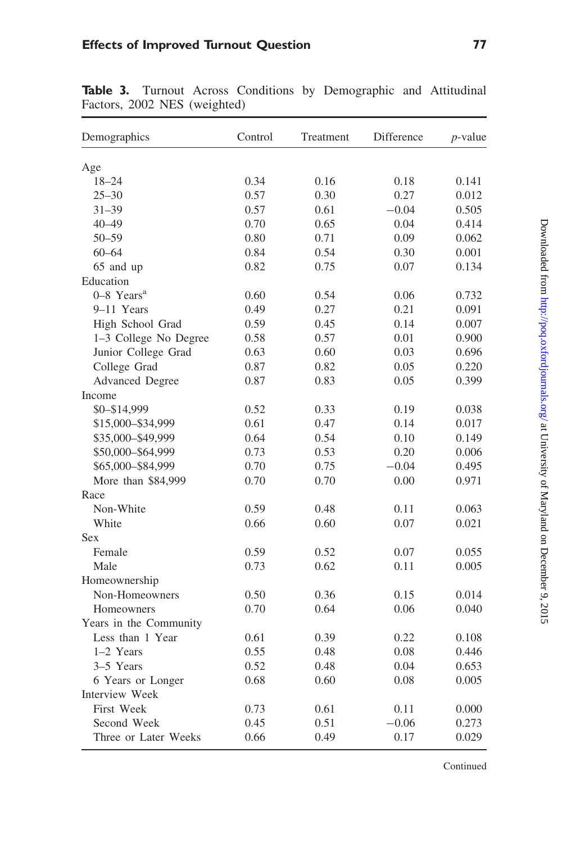| Age<br>$18 - 24$<br>0.34<br>0.16<br>0.18<br>0.141<br>$25 - 30$<br>0.57<br>0.30<br>0.27<br>0.012<br>$31 - 39$<br>0.57<br>0.61<br>$-0.04$<br>0.505<br>0.70<br>$40 - 49$<br>0.65<br>0.04<br>0.414<br>0.71<br>$50 - 59$<br>0.80<br>0.09<br>0.062<br>$60 - 64$<br>0.84<br>0.54<br>0.30<br>0.001<br>0.75<br>65 and up<br>0.82<br>0.07<br>0.134<br>Education<br>$0-8$ Years <sup>a</sup><br>0.60<br>0.54<br>0.06<br>0.732<br>9-11 Years<br>0.49<br>0.27<br>0.21<br>0.091<br>0.14<br>High School Grad<br>0.59<br>0.45<br>0.007<br>1-3 College No Degree<br>0.58<br>0.57<br>0.01<br>0.900<br>Junior College Grad<br>0.63<br>0.60<br>0.696<br>0.03<br>College Grad<br>0.82<br>0.220<br>0.87<br>0.05<br>0.83<br>0.399<br><b>Advanced Degree</b><br>0.87<br>0.05<br>Income<br>$$0 - $14,999$<br>0.038<br>0.52<br>0.33<br>0.19<br>\$15,000-\$34,999<br>0.61<br>0.47<br>0.14<br>0.017<br>0.54<br>\$35,000-\$49,999<br>0.64<br>0.10<br>0.149<br>\$50,000-\$64,999<br>0.73<br>0.53<br>0.20<br>0.006<br>\$65,000-\$84,999<br>0.70<br>0.75<br>$-0.04$<br>0.495<br>More than \$84,999<br>0.70<br>$0.00\,$<br>0.70<br>0.971<br>Race<br>Non-White<br>0.59<br>0.48<br>0.11<br>0.063<br>White<br>0.66<br>0.60<br>0.07<br>0.021<br>Sex<br>Female<br>0.59<br>0.52<br>0.07<br>0.055<br>Male<br>0.73<br>0.62<br>0.005<br>0.11<br>Homeownership<br>Non-Homeowners<br>0.50<br>0.36<br>0.014<br>0.15<br>0.70<br>0.64<br>0.06<br>0.040<br>Homeowners<br>Years in the Community<br>Less than 1 Year<br>0.61<br>0.39<br>0.22<br>0.108<br>1-2 Years<br>0.55<br>0.48<br>0.08<br>0.446<br>3–5 Years<br>0.52<br>0.48<br>0.04<br>0.653<br>6 Years or Longer<br>0.68<br>0.60<br>0.08<br>0.005<br>Interview Week<br><b>First Week</b><br>0.73<br>0.61<br>0.11<br>0.000 | Demographics | Control | Treatment | Difference | $p$ -value |
|--------------------------------------------------------------------------------------------------------------------------------------------------------------------------------------------------------------------------------------------------------------------------------------------------------------------------------------------------------------------------------------------------------------------------------------------------------------------------------------------------------------------------------------------------------------------------------------------------------------------------------------------------------------------------------------------------------------------------------------------------------------------------------------------------------------------------------------------------------------------------------------------------------------------------------------------------------------------------------------------------------------------------------------------------------------------------------------------------------------------------------------------------------------------------------------------------------------------------------------------------------------------------------------------------------------------------------------------------------------------------------------------------------------------------------------------------------------------------------------------------------------------------------------------------------------------------------------------------------------------------------------------------------------------------------------------------------------------------------|--------------|---------|-----------|------------|------------|
|                                                                                                                                                                                                                                                                                                                                                                                                                                                                                                                                                                                                                                                                                                                                                                                                                                                                                                                                                                                                                                                                                                                                                                                                                                                                                                                                                                                                                                                                                                                                                                                                                                                                                                                                |              |         |           |            |            |
|                                                                                                                                                                                                                                                                                                                                                                                                                                                                                                                                                                                                                                                                                                                                                                                                                                                                                                                                                                                                                                                                                                                                                                                                                                                                                                                                                                                                                                                                                                                                                                                                                                                                                                                                |              |         |           |            |            |
|                                                                                                                                                                                                                                                                                                                                                                                                                                                                                                                                                                                                                                                                                                                                                                                                                                                                                                                                                                                                                                                                                                                                                                                                                                                                                                                                                                                                                                                                                                                                                                                                                                                                                                                                |              |         |           |            |            |
|                                                                                                                                                                                                                                                                                                                                                                                                                                                                                                                                                                                                                                                                                                                                                                                                                                                                                                                                                                                                                                                                                                                                                                                                                                                                                                                                                                                                                                                                                                                                                                                                                                                                                                                                |              |         |           |            |            |
|                                                                                                                                                                                                                                                                                                                                                                                                                                                                                                                                                                                                                                                                                                                                                                                                                                                                                                                                                                                                                                                                                                                                                                                                                                                                                                                                                                                                                                                                                                                                                                                                                                                                                                                                |              |         |           |            |            |
|                                                                                                                                                                                                                                                                                                                                                                                                                                                                                                                                                                                                                                                                                                                                                                                                                                                                                                                                                                                                                                                                                                                                                                                                                                                                                                                                                                                                                                                                                                                                                                                                                                                                                                                                |              |         |           |            |            |
|                                                                                                                                                                                                                                                                                                                                                                                                                                                                                                                                                                                                                                                                                                                                                                                                                                                                                                                                                                                                                                                                                                                                                                                                                                                                                                                                                                                                                                                                                                                                                                                                                                                                                                                                |              |         |           |            |            |
|                                                                                                                                                                                                                                                                                                                                                                                                                                                                                                                                                                                                                                                                                                                                                                                                                                                                                                                                                                                                                                                                                                                                                                                                                                                                                                                                                                                                                                                                                                                                                                                                                                                                                                                                |              |         |           |            |            |
|                                                                                                                                                                                                                                                                                                                                                                                                                                                                                                                                                                                                                                                                                                                                                                                                                                                                                                                                                                                                                                                                                                                                                                                                                                                                                                                                                                                                                                                                                                                                                                                                                                                                                                                                |              |         |           |            |            |
|                                                                                                                                                                                                                                                                                                                                                                                                                                                                                                                                                                                                                                                                                                                                                                                                                                                                                                                                                                                                                                                                                                                                                                                                                                                                                                                                                                                                                                                                                                                                                                                                                                                                                                                                |              |         |           |            |            |
|                                                                                                                                                                                                                                                                                                                                                                                                                                                                                                                                                                                                                                                                                                                                                                                                                                                                                                                                                                                                                                                                                                                                                                                                                                                                                                                                                                                                                                                                                                                                                                                                                                                                                                                                |              |         |           |            |            |
|                                                                                                                                                                                                                                                                                                                                                                                                                                                                                                                                                                                                                                                                                                                                                                                                                                                                                                                                                                                                                                                                                                                                                                                                                                                                                                                                                                                                                                                                                                                                                                                                                                                                                                                                |              |         |           |            |            |
|                                                                                                                                                                                                                                                                                                                                                                                                                                                                                                                                                                                                                                                                                                                                                                                                                                                                                                                                                                                                                                                                                                                                                                                                                                                                                                                                                                                                                                                                                                                                                                                                                                                                                                                                |              |         |           |            |            |
|                                                                                                                                                                                                                                                                                                                                                                                                                                                                                                                                                                                                                                                                                                                                                                                                                                                                                                                                                                                                                                                                                                                                                                                                                                                                                                                                                                                                                                                                                                                                                                                                                                                                                                                                |              |         |           |            |            |
|                                                                                                                                                                                                                                                                                                                                                                                                                                                                                                                                                                                                                                                                                                                                                                                                                                                                                                                                                                                                                                                                                                                                                                                                                                                                                                                                                                                                                                                                                                                                                                                                                                                                                                                                |              |         |           |            |            |
|                                                                                                                                                                                                                                                                                                                                                                                                                                                                                                                                                                                                                                                                                                                                                                                                                                                                                                                                                                                                                                                                                                                                                                                                                                                                                                                                                                                                                                                                                                                                                                                                                                                                                                                                |              |         |           |            |            |
|                                                                                                                                                                                                                                                                                                                                                                                                                                                                                                                                                                                                                                                                                                                                                                                                                                                                                                                                                                                                                                                                                                                                                                                                                                                                                                                                                                                                                                                                                                                                                                                                                                                                                                                                |              |         |           |            |            |
|                                                                                                                                                                                                                                                                                                                                                                                                                                                                                                                                                                                                                                                                                                                                                                                                                                                                                                                                                                                                                                                                                                                                                                                                                                                                                                                                                                                                                                                                                                                                                                                                                                                                                                                                |              |         |           |            |            |
|                                                                                                                                                                                                                                                                                                                                                                                                                                                                                                                                                                                                                                                                                                                                                                                                                                                                                                                                                                                                                                                                                                                                                                                                                                                                                                                                                                                                                                                                                                                                                                                                                                                                                                                                |              |         |           |            |            |
|                                                                                                                                                                                                                                                                                                                                                                                                                                                                                                                                                                                                                                                                                                                                                                                                                                                                                                                                                                                                                                                                                                                                                                                                                                                                                                                                                                                                                                                                                                                                                                                                                                                                                                                                |              |         |           |            |            |
|                                                                                                                                                                                                                                                                                                                                                                                                                                                                                                                                                                                                                                                                                                                                                                                                                                                                                                                                                                                                                                                                                                                                                                                                                                                                                                                                                                                                                                                                                                                                                                                                                                                                                                                                |              |         |           |            |            |
|                                                                                                                                                                                                                                                                                                                                                                                                                                                                                                                                                                                                                                                                                                                                                                                                                                                                                                                                                                                                                                                                                                                                                                                                                                                                                                                                                                                                                                                                                                                                                                                                                                                                                                                                |              |         |           |            |            |
|                                                                                                                                                                                                                                                                                                                                                                                                                                                                                                                                                                                                                                                                                                                                                                                                                                                                                                                                                                                                                                                                                                                                                                                                                                                                                                                                                                                                                                                                                                                                                                                                                                                                                                                                |              |         |           |            |            |
|                                                                                                                                                                                                                                                                                                                                                                                                                                                                                                                                                                                                                                                                                                                                                                                                                                                                                                                                                                                                                                                                                                                                                                                                                                                                                                                                                                                                                                                                                                                                                                                                                                                                                                                                |              |         |           |            |            |
|                                                                                                                                                                                                                                                                                                                                                                                                                                                                                                                                                                                                                                                                                                                                                                                                                                                                                                                                                                                                                                                                                                                                                                                                                                                                                                                                                                                                                                                                                                                                                                                                                                                                                                                                |              |         |           |            |            |
|                                                                                                                                                                                                                                                                                                                                                                                                                                                                                                                                                                                                                                                                                                                                                                                                                                                                                                                                                                                                                                                                                                                                                                                                                                                                                                                                                                                                                                                                                                                                                                                                                                                                                                                                |              |         |           |            |            |
|                                                                                                                                                                                                                                                                                                                                                                                                                                                                                                                                                                                                                                                                                                                                                                                                                                                                                                                                                                                                                                                                                                                                                                                                                                                                                                                                                                                                                                                                                                                                                                                                                                                                                                                                |              |         |           |            |            |
|                                                                                                                                                                                                                                                                                                                                                                                                                                                                                                                                                                                                                                                                                                                                                                                                                                                                                                                                                                                                                                                                                                                                                                                                                                                                                                                                                                                                                                                                                                                                                                                                                                                                                                                                |              |         |           |            |            |
|                                                                                                                                                                                                                                                                                                                                                                                                                                                                                                                                                                                                                                                                                                                                                                                                                                                                                                                                                                                                                                                                                                                                                                                                                                                                                                                                                                                                                                                                                                                                                                                                                                                                                                                                |              |         |           |            |            |
|                                                                                                                                                                                                                                                                                                                                                                                                                                                                                                                                                                                                                                                                                                                                                                                                                                                                                                                                                                                                                                                                                                                                                                                                                                                                                                                                                                                                                                                                                                                                                                                                                                                                                                                                |              |         |           |            |            |
|                                                                                                                                                                                                                                                                                                                                                                                                                                                                                                                                                                                                                                                                                                                                                                                                                                                                                                                                                                                                                                                                                                                                                                                                                                                                                                                                                                                                                                                                                                                                                                                                                                                                                                                                |              |         |           |            |            |
|                                                                                                                                                                                                                                                                                                                                                                                                                                                                                                                                                                                                                                                                                                                                                                                                                                                                                                                                                                                                                                                                                                                                                                                                                                                                                                                                                                                                                                                                                                                                                                                                                                                                                                                                |              |         |           |            |            |
|                                                                                                                                                                                                                                                                                                                                                                                                                                                                                                                                                                                                                                                                                                                                                                                                                                                                                                                                                                                                                                                                                                                                                                                                                                                                                                                                                                                                                                                                                                                                                                                                                                                                                                                                |              |         |           |            |            |
|                                                                                                                                                                                                                                                                                                                                                                                                                                                                                                                                                                                                                                                                                                                                                                                                                                                                                                                                                                                                                                                                                                                                                                                                                                                                                                                                                                                                                                                                                                                                                                                                                                                                                                                                |              |         |           |            |            |
|                                                                                                                                                                                                                                                                                                                                                                                                                                                                                                                                                                                                                                                                                                                                                                                                                                                                                                                                                                                                                                                                                                                                                                                                                                                                                                                                                                                                                                                                                                                                                                                                                                                                                                                                |              |         |           |            |            |
|                                                                                                                                                                                                                                                                                                                                                                                                                                                                                                                                                                                                                                                                                                                                                                                                                                                                                                                                                                                                                                                                                                                                                                                                                                                                                                                                                                                                                                                                                                                                                                                                                                                                                                                                |              |         |           |            |            |
|                                                                                                                                                                                                                                                                                                                                                                                                                                                                                                                                                                                                                                                                                                                                                                                                                                                                                                                                                                                                                                                                                                                                                                                                                                                                                                                                                                                                                                                                                                                                                                                                                                                                                                                                |              |         |           |            |            |
|                                                                                                                                                                                                                                                                                                                                                                                                                                                                                                                                                                                                                                                                                                                                                                                                                                                                                                                                                                                                                                                                                                                                                                                                                                                                                                                                                                                                                                                                                                                                                                                                                                                                                                                                |              |         |           |            |            |
|                                                                                                                                                                                                                                                                                                                                                                                                                                                                                                                                                                                                                                                                                                                                                                                                                                                                                                                                                                                                                                                                                                                                                                                                                                                                                                                                                                                                                                                                                                                                                                                                                                                                                                                                |              |         |           |            |            |
| 0.45<br>0.51<br>$-0.06$<br>0.273                                                                                                                                                                                                                                                                                                                                                                                                                                                                                                                                                                                                                                                                                                                                                                                                                                                                                                                                                                                                                                                                                                                                                                                                                                                                                                                                                                                                                                                                                                                                                                                                                                                                                               | Second Week  |         |           |            |            |
| Three or Later Weeks<br>0.66<br>0.49<br>0.17<br>0.029                                                                                                                                                                                                                                                                                                                                                                                                                                                                                                                                                                                                                                                                                                                                                                                                                                                                                                                                                                                                                                                                                                                                                                                                                                                                                                                                                                                                                                                                                                                                                                                                                                                                          |              |         |           |            |            |

Table 3. Turnout Across Conditions by Demographic and Attitudinal Factors, 2002 NES (weighted)

Continued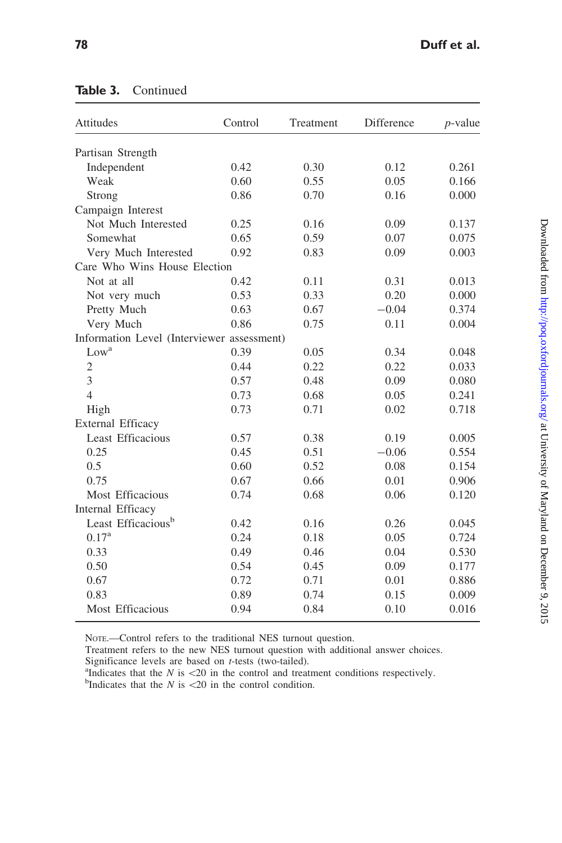| Attitudes                                  | Control | Treatment | Difference | $p$ -value |
|--------------------------------------------|---------|-----------|------------|------------|
| Partisan Strength                          |         |           |            |            |
| Independent                                | 0.42    | 0.30      | 0.12       | 0.261      |
| Weak                                       | 0.60    | 0.55      | 0.05       | 0.166      |
| Strong                                     | 0.86    | 0.70      | 0.16       | 0.000      |
| Campaign Interest                          |         |           |            |            |
| Not Much Interested                        | 0.25    | 0.16      | 0.09       | 0.137      |
| Somewhat                                   | 0.65    | 0.59      | 0.07       | 0.075      |
| Very Much Interested                       | 0.92    | 0.83      | 0.09       | 0.003      |
| Care Who Wins House Election               |         |           |            |            |
| Not at all                                 | 0.42    | 0.11      | 0.31       | 0.013      |
| Not very much                              | 0.53    | 0.33      | 0.20       | 0.000      |
| Pretty Much                                | 0.63    | 0.67      | $-0.04$    | 0.374      |
| Very Much                                  | 0.86    | 0.75      | 0.11       | 0.004      |
| Information Level (Interviewer assessment) |         |           |            |            |
| Low <sup>a</sup>                           | 0.39    | 0.05      | 0.34       | 0.048      |
| $\mathfrak{2}$                             | 0.44    | 0.22      | 0.22       | 0.033      |
| 3                                          | 0.57    | 0.48      | 0.09       | 0.080      |
| $\overline{4}$                             | 0.73    | 0.68      | 0.05       | 0.241      |
| High                                       | 0.73    | 0.71      | 0.02       | 0.718      |
| External Efficacy                          |         |           |            |            |
| Least Efficacious                          | 0.57    | 0.38      | 0.19       | 0.005      |
| 0.25                                       | 0.45    | 0.51      | $-0.06$    | 0.554      |
| 0.5                                        | 0.60    | 0.52      | 0.08       | 0.154      |
| 0.75                                       | 0.67    | 0.66      | 0.01       | 0.906      |
| Most Efficacious                           | 0.74    | 0.68      | 0.06       | 0.120      |
| Internal Efficacy                          |         |           |            |            |
| Least Efficacious <sup>b</sup>             | 0.42    | 0.16      | 0.26       | 0.045      |
| $0.17^{a}$                                 | 0.24    | 0.18      | 0.05       | 0.724      |
| 0.33                                       | 0.49    | 0.46      | 0.04       | 0.530      |
| 0.50                                       | 0.54    | 0.45      | 0.09       | 0.177      |
| 0.67                                       | 0.72    | 0.71      | 0.01       | 0.886      |
| 0.83                                       | 0.89    | 0.74      | 0.15       | 0.009      |
| Most Efficacious                           | 0.94    | 0.84      | 0.10       | 0.016      |

### Table 3. Continued

NOTE.—Control refers to the traditional NES turnout question.

Treatment refers to the new NES turnout question with additional answer choices. Significance levels are based on  $t$ -tests (two-tailed).

<sup>a</sup>Indicates that the  $N$  is  $\langle 20 \rangle$  in the control and treatment conditions respectively.

<sup>b</sup>Indicates that the  $N$  is  $\lt 20$  in the control condition.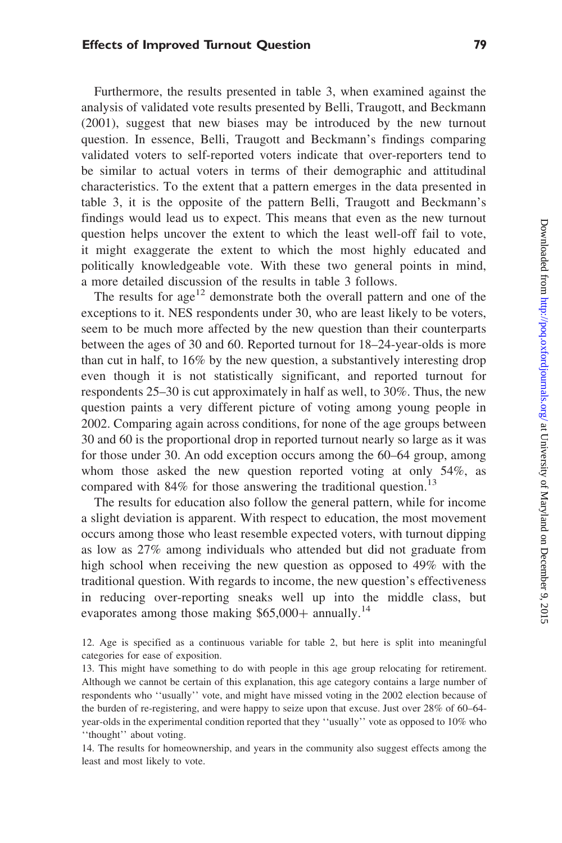#### Effects of Improved Turnout Question 79

Furthermore, the results presented in table 3, when examined against the analysis of validated vote results presented by Belli, Traugott, and Beckmann (2001), suggest that new biases may be introduced by the new turnout question. In essence, Belli, Traugott and Beckmann's findings comparing validated voters to self-reported voters indicate that over-reporters tend to be similar to actual voters in terms of their demographic and attitudinal characteristics. To the extent that a pattern emerges in the data presented in table 3, it is the opposite of the pattern Belli, Traugott and Beckmann's findings would lead us to expect. This means that even as the new turnout question helps uncover the extent to which the least well-off fail to vote, it might exaggerate the extent to which the most highly educated and politically knowledgeable vote. With these two general points in mind, a more detailed discussion of the results in table 3 follows.

The results for  $age^{12}$  demonstrate both the overall pattern and one of the exceptions to it. NES respondents under 30, who are least likely to be voters, seem to be much more affected by the new question than their counterparts between the ages of 30 and 60. Reported turnout for 18–24-year-olds is more than cut in half, to 16% by the new question, a substantively interesting drop even though it is not statistically significant, and reported turnout for respondents 25–30 is cut approximately in half as well, to 30%. Thus, the new question paints a very different picture of voting among young people in 2002. Comparing again across conditions, for none of the age groups between 30 and 60 is the proportional drop in reported turnout nearly so large as it was for those under 30. An odd exception occurs among the 60–64 group, among whom those asked the new question reported voting at only 54%, as compared with 84% for those answering the traditional question.<sup>13</sup>

The results for education also follow the general pattern, while for income a slight deviation is apparent. With respect to education, the most movement occurs among those who least resemble expected voters, with turnout dipping as low as 27% among individuals who attended but did not graduate from high school when receiving the new question as opposed to 49% with the traditional question. With regards to income, the new question's effectiveness in reducing over-reporting sneaks well up into the middle class, but evaporates among those making  $$65,000+$  annually.<sup>14</sup>

12. Age is specified as a continuous variable for table 2, but here is split into meaningful categories for ease of exposition.

13. This might have something to do with people in this age group relocating for retirement. Although we cannot be certain of this explanation, this age category contains a large number of respondents who ''usually'' vote, and might have missed voting in the 2002 election because of the burden of re-registering, and were happy to seize upon that excuse. Just over 28% of 60–64 year-olds in the experimental condition reported that they ''usually'' vote as opposed to 10% who ''thought'' about voting.

14. The results for homeownership, and years in the community also suggest effects among the least and most likely to vote.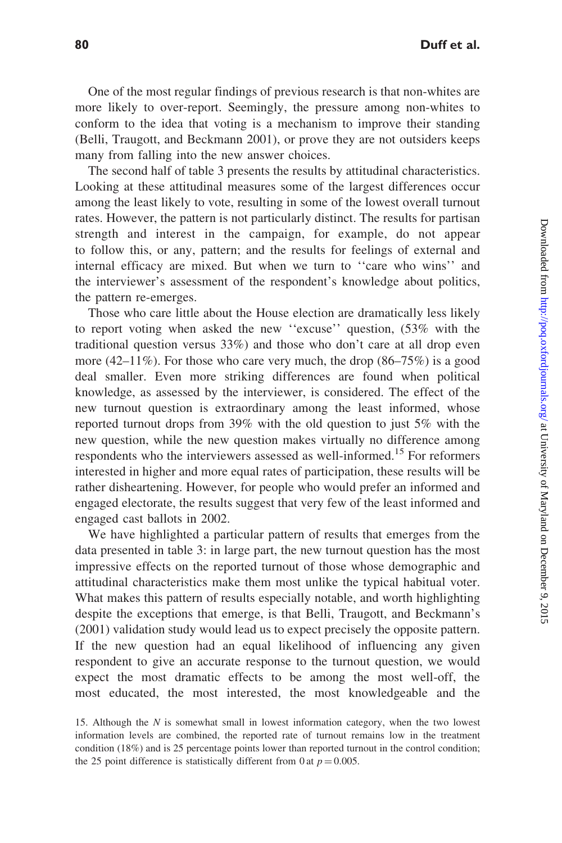One of the most regular findings of previous research is that non-whites are more likely to over-report. Seemingly, the pressure among non-whites to conform to the idea that voting is a mechanism to improve their standing (Belli, Traugott, and Beckmann 2001), or prove they are not outsiders keeps many from falling into the new answer choices.

The second half of table 3 presents the results by attitudinal characteristics. Looking at these attitudinal measures some of the largest differences occur among the least likely to vote, resulting in some of the lowest overall turnout rates. However, the pattern is not particularly distinct. The results for partisan strength and interest in the campaign, for example, do not appear to follow this, or any, pattern; and the results for feelings of external and internal efficacy are mixed. But when we turn to ''care who wins'' and the interviewer's assessment of the respondent's knowledge about politics, the pattern re-emerges.

Those who care little about the House election are dramatically less likely to report voting when asked the new ''excuse'' question, (53% with the traditional question versus 33%) and those who don't care at all drop even more  $(42-11\%)$ . For those who care very much, the drop  $(86-75\%)$  is a good deal smaller. Even more striking differences are found when political knowledge, as assessed by the interviewer, is considered. The effect of the new turnout question is extraordinary among the least informed, whose reported turnout drops from 39% with the old question to just 5% with the new question, while the new question makes virtually no difference among respondents who the interviewers assessed as well-informed.<sup>15</sup> For reformers interested in higher and more equal rates of participation, these results will be rather disheartening. However, for people who would prefer an informed and engaged electorate, the results suggest that very few of the least informed and engaged cast ballots in 2002.

We have highlighted a particular pattern of results that emerges from the data presented in table 3: in large part, the new turnout question has the most impressive effects on the reported turnout of those whose demographic and attitudinal characteristics make them most unlike the typical habitual voter. What makes this pattern of results especially notable, and worth highlighting despite the exceptions that emerge, is that Belli, Traugott, and Beckmann's (2001) validation study would lead us to expect precisely the opposite pattern. If the new question had an equal likelihood of influencing any given respondent to give an accurate response to the turnout question, we would expect the most dramatic effects to be among the most well-off, the most educated, the most interested, the most knowledgeable and the

<sup>15.</sup> Although the N is somewhat small in lowest information category, when the two lowest information levels are combined, the reported rate of turnout remains low in the treatment condition (18%) and is 25 percentage points lower than reported turnout in the control condition; the 25 point difference is statistically different from 0 at  $p = 0.005$ .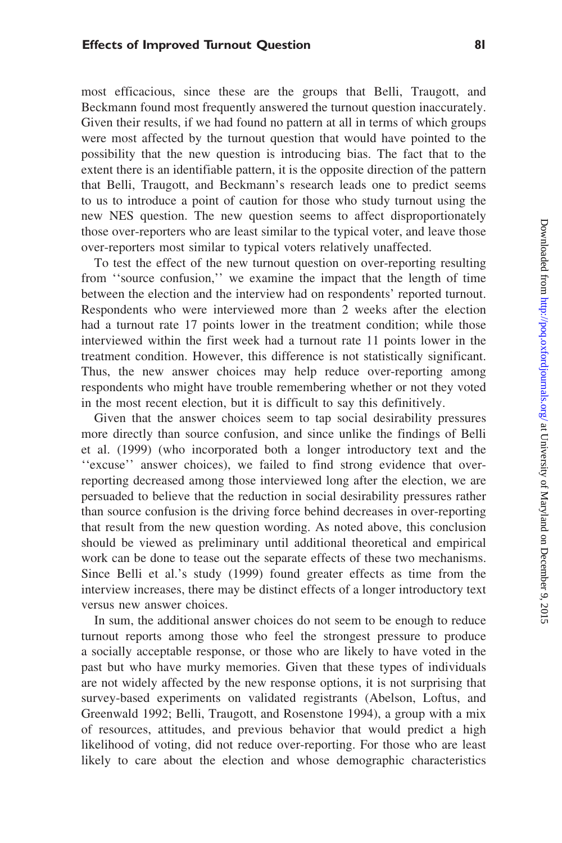#### Effects of Improved Turnout Question **81**

most efficacious, since these are the groups that Belli, Traugott, and Beckmann found most frequently answered the turnout question inaccurately. Given their results, if we had found no pattern at all in terms of which groups were most affected by the turnout question that would have pointed to the possibility that the new question is introducing bias. The fact that to the extent there is an identifiable pattern, it is the opposite direction of the pattern that Belli, Traugott, and Beckmann's research leads one to predict seems to us to introduce a point of caution for those who study turnout using the new NES question. The new question seems to affect disproportionately those over-reporters who are least similar to the typical voter, and leave those over-reporters most similar to typical voters relatively unaffected.

To test the effect of the new turnout question on over-reporting resulting from ''source confusion,'' we examine the impact that the length of time between the election and the interview had on respondents' reported turnout. Respondents who were interviewed more than 2 weeks after the election had a turnout rate 17 points lower in the treatment condition; while those interviewed within the first week had a turnout rate 11 points lower in the treatment condition. However, this difference is not statistically significant. Thus, the new answer choices may help reduce over-reporting among respondents who might have trouble remembering whether or not they voted in the most recent election, but it is difficult to say this definitively.

Given that the answer choices seem to tap social desirability pressures more directly than source confusion, and since unlike the findings of Belli et al. (1999) (who incorporated both a longer introductory text and the ''excuse'' answer choices), we failed to find strong evidence that overreporting decreased among those interviewed long after the election, we are persuaded to believe that the reduction in social desirability pressures rather than source confusion is the driving force behind decreases in over-reporting that result from the new question wording. As noted above, this conclusion should be viewed as preliminary until additional theoretical and empirical work can be done to tease out the separate effects of these two mechanisms. Since Belli et al.'s study (1999) found greater effects as time from the interview increases, there may be distinct effects of a longer introductory text versus new answer choices.

In sum, the additional answer choices do not seem to be enough to reduce turnout reports among those who feel the strongest pressure to produce a socially acceptable response, or those who are likely to have voted in the past but who have murky memories. Given that these types of individuals are not widely affected by the new response options, it is not surprising that survey-based experiments on validated registrants (Abelson, Loftus, and Greenwald 1992; Belli, Traugott, and Rosenstone 1994), a group with a mix of resources, attitudes, and previous behavior that would predict a high likelihood of voting, did not reduce over-reporting. For those who are least likely to care about the election and whose demographic characteristics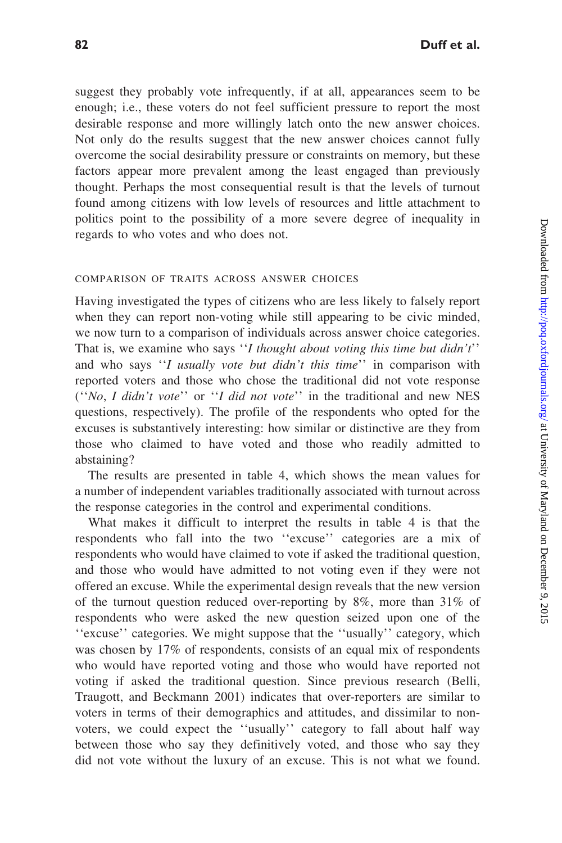suggest they probably vote infrequently, if at all, appearances seem to be enough; i.e., these voters do not feel sufficient pressure to report the most desirable response and more willingly latch onto the new answer choices. Not only do the results suggest that the new answer choices cannot fully overcome the social desirability pressure or constraints on memory, but these factors appear more prevalent among the least engaged than previously thought. Perhaps the most consequential result is that the levels of turnout found among citizens with low levels of resources and little attachment to politics point to the possibility of a more severe degree of inequality in regards to who votes and who does not.

#### COMPARISON OF TRAITS ACROSS ANSWER CHOICES

Having investigated the types of citizens who are less likely to falsely report when they can report non-voting while still appearing to be civic minded, we now turn to a comparison of individuals across answer choice categories. That is, we examine who says "I thought about voting this time but didn't" and who says "I usually vote but didn't this time" in comparison with reported voters and those who chose the traditional did not vote response (''No, I didn't vote'' or ''I did not vote'' in the traditional and new NES questions, respectively). The profile of the respondents who opted for the excuses is substantively interesting: how similar or distinctive are they from those who claimed to have voted and those who readily admitted to abstaining?

The results are presented in table 4, which shows the mean values for a number of independent variables traditionally associated with turnout across the response categories in the control and experimental conditions.

What makes it difficult to interpret the results in table 4 is that the respondents who fall into the two ''excuse'' categories are a mix of respondents who would have claimed to vote if asked the traditional question, and those who would have admitted to not voting even if they were not offered an excuse. While the experimental design reveals that the new version of the turnout question reduced over-reporting by  $8\%$ , more than  $31\%$  of respondents who were asked the new question seized upon one of the ''excuse'' categories. We might suppose that the ''usually'' category, which was chosen by 17% of respondents, consists of an equal mix of respondents who would have reported voting and those who would have reported not voting if asked the traditional question. Since previous research (Belli, Traugott, and Beckmann 2001) indicates that over-reporters are similar to voters in terms of their demographics and attitudes, and dissimilar to nonvoters, we could expect the ''usually'' category to fall about half way between those who say they definitively voted, and those who say they did not vote without the luxury of an excuse. This is not what we found.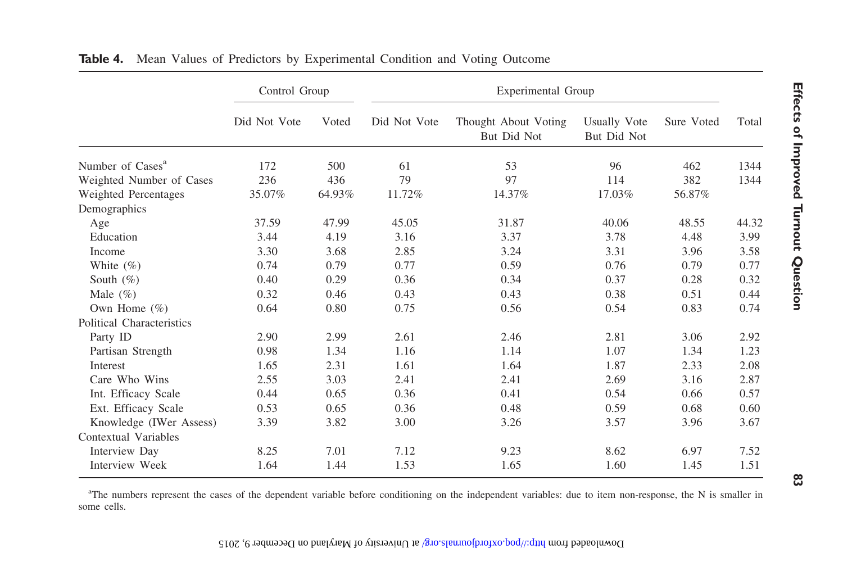|                              | Control Group |        | Experimental Group |                                     |                                    |            |       |
|------------------------------|---------------|--------|--------------------|-------------------------------------|------------------------------------|------------|-------|
|                              | Did Not Vote  | Voted  | Did Not Vote       | Thought About Voting<br>But Did Not | <b>Usually Vote</b><br>But Did Not | Sure Voted | Total |
| Number of Cases <sup>a</sup> | 172           | 500    | 61                 | 53                                  | 96                                 | 462        | 1344  |
| Weighted Number of Cases     | 236           | 436    | 79                 | 97                                  | 114                                | 382        | 1344  |
| Weighted Percentages         | 35.07%        | 64.93% | 11.72%             | 14.37%                              | 17.03%                             | 56.87%     |       |
| Demographics                 |               |        |                    |                                     |                                    |            |       |
| Age                          | 37.59         | 47.99  | 45.05              | 31.87                               | 40.06                              | 48.55      | 44.32 |
| Education                    | 3.44          | 4.19   | 3.16               | 3.37                                | 3.78                               | 4.48       | 3.99  |
| Income                       | 3.30          | 3.68   | 2.85               | 3.24                                | 3.31                               | 3.96       | 3.58  |
| White $(\% )$                | 0.74          | 0.79   | 0.77               | 0.59                                | 0.76                               | 0.79       | 0.77  |
| South $(\%)$                 | 0.40          | 0.29   | 0.36               | 0.34                                | 0.37                               | 0.28       | 0.32  |
| Male $(\% )$                 | 0.32          | 0.46   | 0.43               | 0.43                                | 0.38                               | 0.51       | 0.44  |
| Own Home $(\% )$             | 0.64          | 0.80   | 0.75               | 0.56                                | 0.54                               | 0.83       | 0.74  |
| Political Characteristics    |               |        |                    |                                     |                                    |            |       |
| Party ID                     | 2.90          | 2.99   | 2.61               | 2.46                                | 2.81                               | 3.06       | 2.92  |
| Partisan Strength            | 0.98          | 1.34   | 1.16               | 1.14                                | 1.07                               | 1.34       | 1.23  |
| Interest                     | 1.65          | 2.31   | 1.61               | 1.64                                | 1.87                               | 2.33       | 2.08  |
| Care Who Wins                | 2.55          | 3.03   | 2.41               | 2.41                                | 2.69                               | 3.16       | 2.87  |
| Int. Efficacy Scale          | 0.44          | 0.65   | 0.36               | 0.41                                | 0.54                               | 0.66       | 0.57  |
| Ext. Efficacy Scale          | 0.53          | 0.65   | 0.36               | 0.48                                | 0.59                               | 0.68       | 0.60  |
| Knowledge (IWer Assess)      | 3.39          | 3.82   | 3.00               | 3.26                                | 3.57                               | 3.96       | 3.67  |
| Contextual Variables         |               |        |                    |                                     |                                    |            |       |
| Interview Day                | 8.25          | 7.01   | 7.12               | 9.23                                | 8.62                               | 6.97       | 7.52  |
| Interview Week               | 1.64          | 1.44   | 1.53               | 1.65                                | 1.60                               | 1.45       | 1.51  |

**Table 4.** Mean Values of Predictors by Experimental Condition and Voting Outcome

<sup>a</sup>The numbers represent the cases of the dependent variable before conditioning on the independent variables: due to item non-response, the N is smaller in some cells.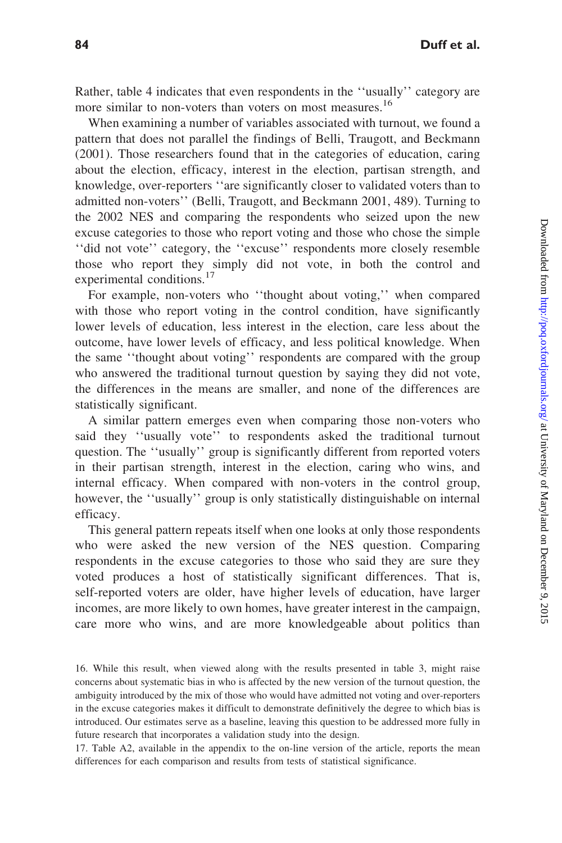Rather, table 4 indicates that even respondents in the ''usually'' category are more similar to non-voters than voters on most measures.<sup>16</sup>

When examining a number of variables associated with turnout, we found a pattern that does not parallel the findings of Belli, Traugott, and Beckmann (2001). Those researchers found that in the categories of education, caring about the election, efficacy, interest in the election, partisan strength, and knowledge, over-reporters ''are significantly closer to validated voters than to admitted non-voters'' (Belli, Traugott, and Beckmann 2001, 489). Turning to the 2002 NES and comparing the respondents who seized upon the new excuse categories to those who report voting and those who chose the simple ''did not vote'' category, the ''excuse'' respondents more closely resemble those who report they simply did not vote, in both the control and experimental conditions.<sup>17</sup>

For example, non-voters who ''thought about voting,'' when compared with those who report voting in the control condition, have significantly lower levels of education, less interest in the election, care less about the outcome, have lower levels of efficacy, and less political knowledge. When the same ''thought about voting'' respondents are compared with the group who answered the traditional turnout question by saying they did not vote, the differences in the means are smaller, and none of the differences are statistically significant.

A similar pattern emerges even when comparing those non-voters who said they ''usually vote'' to respondents asked the traditional turnout question. The ''usually'' group is significantly different from reported voters in their partisan strength, interest in the election, caring who wins, and internal efficacy. When compared with non-voters in the control group, however, the ''usually'' group is only statistically distinguishable on internal efficacy.

This general pattern repeats itself when one looks at only those respondents who were asked the new version of the NES question. Comparing respondents in the excuse categories to those who said they are sure they voted produces a host of statistically significant differences. That is, self-reported voters are older, have higher levels of education, have larger incomes, are more likely to own homes, have greater interest in the campaign, care more who wins, and are more knowledgeable about politics than

17. Table A2, available in the appendix to the on-line version of the article, reports the mean differences for each comparison and results from tests of statistical significance.

<sup>16.</sup> While this result, when viewed along with the results presented in table 3, might raise concerns about systematic bias in who is affected by the new version of the turnout question, the ambiguity introduced by the mix of those who would have admitted not voting and over-reporters in the excuse categories makes it difficult to demonstrate definitively the degree to which bias is introduced. Our estimates serve as a baseline, leaving this question to be addressed more fully in future research that incorporates a validation study into the design.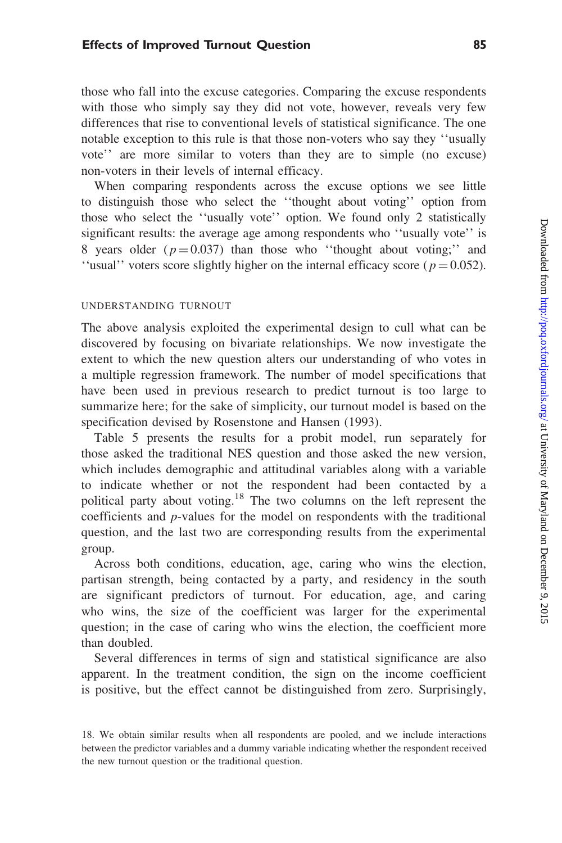#### Effects of Improved Turnout Question 85

those who fall into the excuse categories. Comparing the excuse respondents with those who simply say they did not vote, however, reveals very few differences that rise to conventional levels of statistical significance. The one notable exception to this rule is that those non-voters who say they ''usually vote'' are more similar to voters than they are to simple (no excuse) non-voters in their levels of internal efficacy.

When comparing respondents across the excuse options we see little to distinguish those who select the ''thought about voting'' option from those who select the ''usually vote'' option. We found only 2 statistically significant results: the average age among respondents who ''usually vote'' is 8 years older  $(p=0.037)$  than those who "thought about voting;" and "usual" voters score slightly higher on the internal efficacy score ( $p = 0.052$ ).

#### UNDERSTANDING TURNOUT

The above analysis exploited the experimental design to cull what can be discovered by focusing on bivariate relationships. We now investigate the extent to which the new question alters our understanding of who votes in a multiple regression framework. The number of model specifications that have been used in previous research to predict turnout is too large to summarize here; for the sake of simplicity, our turnout model is based on the specification devised by Rosenstone and Hansen (1993).

Table 5 presents the results for a probit model, run separately for those asked the traditional NES question and those asked the new version, which includes demographic and attitudinal variables along with a variable to indicate whether or not the respondent had been contacted by a political party about voting.<sup>18</sup> The two columns on the left represent the coefficients and p-values for the model on respondents with the traditional question, and the last two are corresponding results from the experimental group.

Across both conditions, education, age, caring who wins the election, partisan strength, being contacted by a party, and residency in the south are significant predictors of turnout. For education, age, and caring who wins, the size of the coefficient was larger for the experimental question; in the case of caring who wins the election, the coefficient more than doubled.

Several differences in terms of sign and statistical significance are also apparent. In the treatment condition, the sign on the income coefficient is positive, but the effect cannot be distinguished from zero. Surprisingly,

<sup>18.</sup> We obtain similar results when all respondents are pooled, and we include interactions between the predictor variables and a dummy variable indicating whether the respondent received the new turnout question or the traditional question.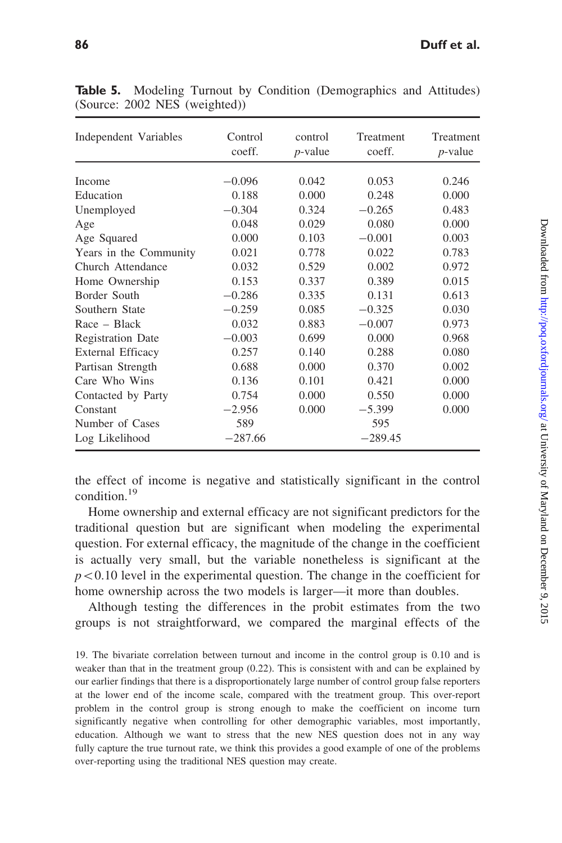| Independent Variables    | Control<br>coeff. | control<br>$p$ -value | Treatment<br>coeff. | Treatment<br>$p$ -value |
|--------------------------|-------------------|-----------------------|---------------------|-------------------------|
| Income                   | $-0.096$          | 0.042                 | 0.053               | 0.246                   |
| Education                | 0.188             | 0.000                 | 0.248               | 0.000                   |
| Unemployed               | $-0.304$          | 0.324                 | $-0.265$            | 0.483                   |
| Age                      | 0.048             | 0.029                 | 0.080               | 0.000                   |
| Age Squared              | 0.000             | 0.103                 | $-0.001$            | 0.003                   |
| Years in the Community   | 0.021             | 0.778                 | 0.022               | 0.783                   |
| Church Attendance        | 0.032             | 0.529                 | 0.002               | 0.972                   |
| Home Ownership           | 0.153             | 0.337                 | 0.389               | 0.015                   |
| Border South             | $-0.286$          | 0.335                 | 0.131               | 0.613                   |
| Southern State           | $-0.259$          | 0.085                 | $-0.325$            | 0.030                   |
| Race – Black             | 0.032             | 0.883                 | $-0.007$            | 0.973                   |
| <b>Registration Date</b> | $-0.003$          | 0.699                 | 0.000               | 0.968                   |
| External Efficacy        | 0.257             | 0.140                 | 0.288               | 0.080                   |
| Partisan Strength        | 0.688             | 0.000                 | 0.370               | 0.002                   |
| Care Who Wins            | 0.136             | 0.101                 | 0.421               | 0.000                   |
| Contacted by Party       | 0.754             | 0.000                 | 0.550               | 0.000                   |
| Constant                 | $-2.956$          | 0.000                 | $-5.399$            | 0.000                   |
| Number of Cases          | 589               |                       | 595                 |                         |
| Log Likelihood           | $-287.66$         |                       | $-289.45$           |                         |

Table 5. Modeling Turnout by Condition (Demographics and Attitudes) (Source: 2002 NES (weighted))

the effect of income is negative and statistically significant in the control condition.<sup>19</sup>

Home ownership and external efficacy are not significant predictors for the traditional question but are significant when modeling the experimental question. For external efficacy, the magnitude of the change in the coefficient is actually very small, but the variable nonetheless is significant at the  $p<0.10$  level in the experimental question. The change in the coefficient for home ownership across the two models is larger—it more than doubles.

Although testing the differences in the probit estimates from the two groups is not straightforward, we compared the marginal effects of the

19. The bivariate correlation between turnout and income in the control group is 0.10 and is weaker than that in the treatment group (0.22). This is consistent with and can be explained by our earlier findings that there is a disproportionately large number of control group false reporters at the lower end of the income scale, compared with the treatment group. This over-report problem in the control group is strong enough to make the coefficient on income turn significantly negative when controlling for other demographic variables, most importantly, education. Although we want to stress that the new NES question does not in any way fully capture the true turnout rate, we think this provides a good example of one of the problems over-reporting using the traditional NES question may create.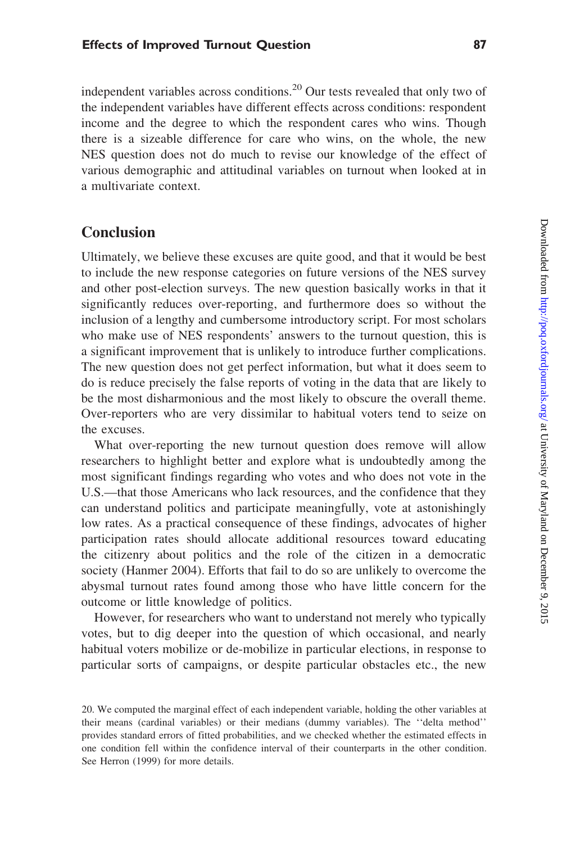independent variables across conditions.<sup>20</sup> Our tests revealed that only two of the independent variables have different effects across conditions: respondent income and the degree to which the respondent cares who wins. Though there is a sizeable difference for care who wins, on the whole, the new NES question does not do much to revise our knowledge of the effect of various demographic and attitudinal variables on turnout when looked at in a multivariate context.

## **Conclusion**

Ultimately, we believe these excuses are quite good, and that it would be best to include the new response categories on future versions of the NES survey and other post-election surveys. The new question basically works in that it significantly reduces over-reporting, and furthermore does so without the inclusion of a lengthy and cumbersome introductory script. For most scholars who make use of NES respondents' answers to the turnout question, this is a significant improvement that is unlikely to introduce further complications. The new question does not get perfect information, but what it does seem to do is reduce precisely the false reports of voting in the data that are likely to be the most disharmonious and the most likely to obscure the overall theme. Over-reporters who are very dissimilar to habitual voters tend to seize on the excuses.

What over-reporting the new turnout question does remove will allow researchers to highlight better and explore what is undoubtedly among the most significant findings regarding who votes and who does not vote in the U.S.—that those Americans who lack resources, and the confidence that they can understand politics and participate meaningfully, vote at astonishingly low rates. As a practical consequence of these findings, advocates of higher participation rates should allocate additional resources toward educating the citizenry about politics and the role of the citizen in a democratic society (Hanmer 2004). Efforts that fail to do so are unlikely to overcome the abysmal turnout rates found among those who have little concern for the outcome or little knowledge of politics.

However, for researchers who want to understand not merely who typically votes, but to dig deeper into the question of which occasional, and nearly habitual voters mobilize or de-mobilize in particular elections, in response to particular sorts of campaigns, or despite particular obstacles etc., the new

<sup>20.</sup> We computed the marginal effect of each independent variable, holding the other variables at their means (cardinal variables) or their medians (dummy variables). The ''delta method'' provides standard errors of fitted probabilities, and we checked whether the estimated effects in one condition fell within the confidence interval of their counterparts in the other condition. See Herron (1999) for more details.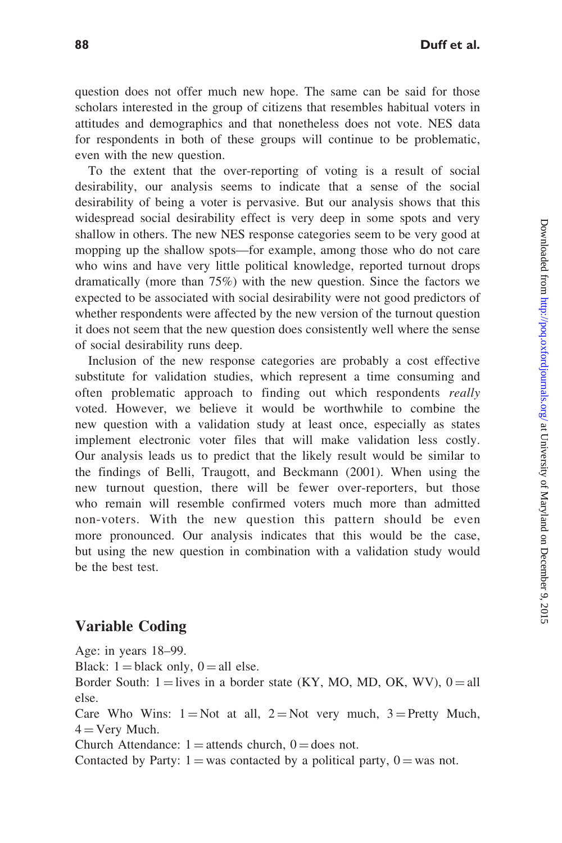question does not offer much new hope. The same can be said for those scholars interested in the group of citizens that resembles habitual voters in attitudes and demographics and that nonetheless does not vote. NES data for respondents in both of these groups will continue to be problematic, even with the new question.

To the extent that the over-reporting of voting is a result of social desirability, our analysis seems to indicate that a sense of the social desirability of being a voter is pervasive. But our analysis shows that this widespread social desirability effect is very deep in some spots and very shallow in others. The new NES response categories seem to be very good at mopping up the shallow spots—for example, among those who do not care who wins and have very little political knowledge, reported turnout drops dramatically (more than 75%) with the new question. Since the factors we expected to be associated with social desirability were not good predictors of whether respondents were affected by the new version of the turnout question it does not seem that the new question does consistently well where the sense of social desirability runs deep.

Inclusion of the new response categories are probably a cost effective substitute for validation studies, which represent a time consuming and often problematic approach to finding out which respondents really voted. However, we believe it would be worthwhile to combine the new question with a validation study at least once, especially as states implement electronic voter files that will make validation less costly. Our analysis leads us to predict that the likely result would be similar to the findings of Belli, Traugott, and Beckmann (2001). When using the new turnout question, there will be fewer over-reporters, but those who remain will resemble confirmed voters much more than admitted non-voters. With the new question this pattern should be even more pronounced. Our analysis indicates that this would be the case, but using the new question in combination with a validation study would be the best test.

### Variable Coding

Age: in years 18–99. Black:  $1 =$ black only,  $0 =$ all else. Border South:  $1 =$ lives in a border state (KY, MO, MD, OK, WV),  $0 =$ all else. Care Who Wins:  $1 = Not$  at all,  $2 = Not$  very much,  $3 = Pretty$  Much,  $4 = \text{Very Much.}$ Church Attendance:  $1 =$ attends church,  $0 =$ does not. Contacted by Party:  $1 =$  was contacted by a political party,  $0 =$  was not.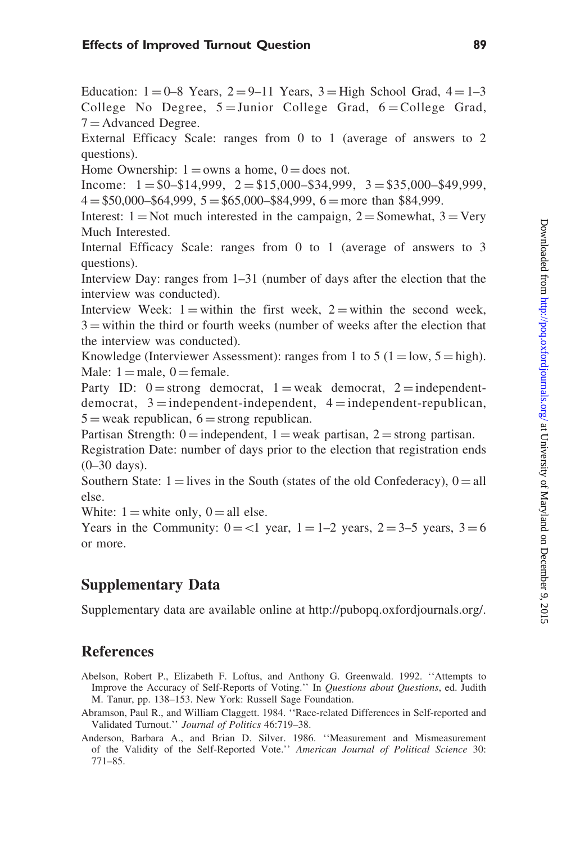### Effects of Improved Turnout Question 89

Education:  $1 = 0-8$  Years,  $2 = 9-11$  Years,  $3 =$ High School Grad,  $4 = 1-3$ College No Degree,  $5 =$ Junior College Grad,  $6 =$ College Grad,  $7 =$ Advanced Degree.

External Efficacy Scale: ranges from 0 to 1 (average of answers to 2 questions).

Home Ownership:  $1 =$ owns a home,  $0 =$ does not.

Income:  $1 = $0 - $14,999$ ,  $2 = $15,000 - $34,999$ ,  $3 = $35,000 - $49,999$ ,  $4 = $50,000 - $64,999, 5 = $65,000 - $84,999, 6 = more than $84,999.$ 

Interest:  $1 = Not$  much interested in the campaign,  $2 = Somewhat$ ,  $3 = Very$ Much Interested.

Internal Efficacy Scale: ranges from 0 to 1 (average of answers to 3 questions).

Interview Day: ranges from 1–31 (number of days after the election that the interview was conducted).

Interview Week:  $1 =$  within the first week,  $2 =$  within the second week,  $3 =$  within the third or fourth weeks (number of weeks after the election that the interview was conducted).

Knowledge (Interviewer Assessment): ranges from 1 to 5 ( $1 = \text{low}, 5 = \text{high}$ ). Male:  $1 =$  male,  $0 =$  female.

Party ID:  $0 =$ strong democrat, 1 = weak democrat, 2 = independentdemocrat,  $3 =$ independent-independent,  $4 =$ independent-republican,  $5 =$  weak republican,  $6 =$  strong republican.

Partisan Strength:  $0 =$  independent,  $1 =$  weak partisan,  $2 =$  strong partisan.

Registration Date: number of days prior to the election that registration ends  $(0-30 \text{ days})$ .

Southern State:  $1 =$  lives in the South (states of the old Confederacy),  $0 =$  all else.

White:  $1 =$  white only,  $0 =$  all else.

Years in the Community:  $0 = 1$  year,  $1 = 1-2$  years,  $2 = 3-5$  years,  $3 = 6$ or more.

# Supplementary Data

Supplementary data are available online at [http://pubopq.oxfordjournals.org/.](http://pubopq.oxfordjournals.org/)

# References

- Abelson, Robert P., Elizabeth F. Loftus, and Anthony G. Greenwald. 1992. ''Attempts to Improve the Accuracy of Self-Reports of Voting.'' In Questions about Questions, ed. Judith M. Tanur, pp. 138–153. New York: Russell Sage Foundation.
- Abramson, Paul R., and William Claggett. 1984. ''Race-related Differences in Self-reported and Validated Turnout.'' Journal of Politics 46:719–38.
- Anderson, Barbara A., and Brian D. Silver. 1986. ''Measurement and Mismeasurement of the Validity of the Self-Reported Vote.'' American Journal of Political Science 30: 771–85.